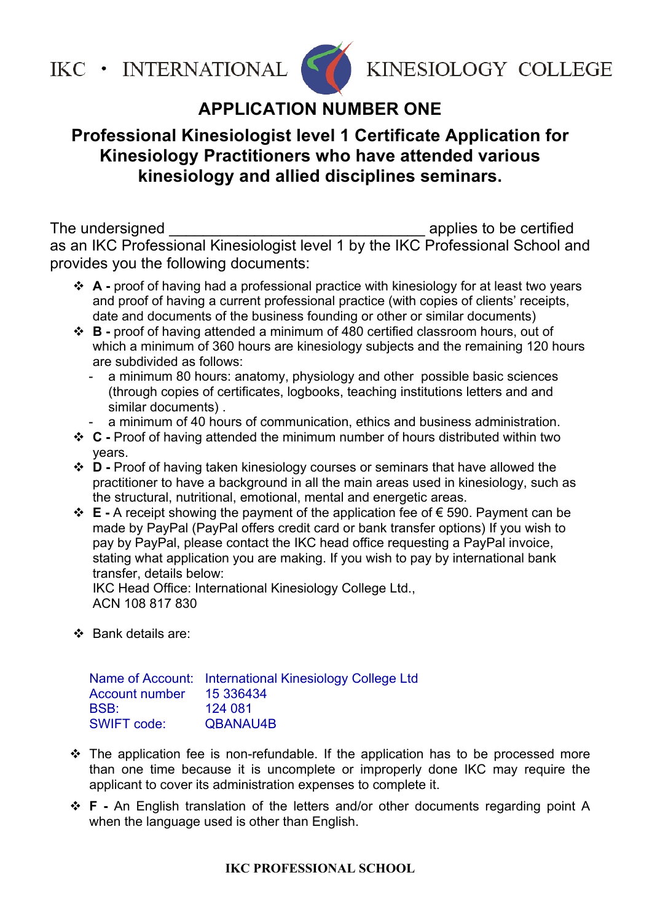

KINESIOLOGY COLLEGE

### **APPLICATION NUMBER ONE**

#### **Professional Kinesiologist level 1 Certificate Application for Kinesiology Practitioners who have attended various kinesiology and allied disciplines seminars.**

The undersigned **The undersigned** as an IKC Professional Kinesiologist level 1 by the IKC Professional School and provides you the following documents:

- ! **A** proof of having had a professional practice with kinesiology for at least two years and proof of having a current professional practice (with copies of clients' receipts, date and documents of the business founding or other or similar documents)
- ! **B** proof of having attended a minimum of 480 certified classroom hours, out of which a minimum of 360 hours are kinesiology subjects and the remaining 120 hours are subdivided as follows:
	- a minimum 80 hours: anatomy, physiology and other possible basic sciences (through copies of certificates, logbooks, teaching institutions letters and and similar documents) .
	- a minimum of 40 hours of communication, ethics and business administration.
- ! **C** Proof of having attended the minimum number of hours distributed within two years.
- ! **D** Proof of having taken kinesiology courses or seminars that have allowed the practitioner to have a background in all the main areas used in kinesiology, such as the structural, nutritional, emotional, mental and energetic areas.
- ! **E** A receipt showing the payment of the application fee of € 590. Payment can be made by PayPal (PayPal offers credit card or bank transfer options) If you wish to pay by PayPal, please contact the IKC head office requesting a PayPal invoice, stating what application you are making. If you wish to pay by international bank transfer, details below:

IKC Head Office: International Kinesiology College Ltd., ACN 108 817 830

❖ Bank details are:

Name of Account: International Kinesiology College Ltd Account number 15 336434 BSB: 124 081 SWIFT code: QBANAU4B

- $\cdot \cdot$  The application fee is non-refundable. If the application has to be processed more than one time because it is uncomplete or improperly done IKC may require the applicant to cover its administration expenses to complete it.
- ! **F** An English translation of the letters and/or other documents regarding point A when the language used is other than English.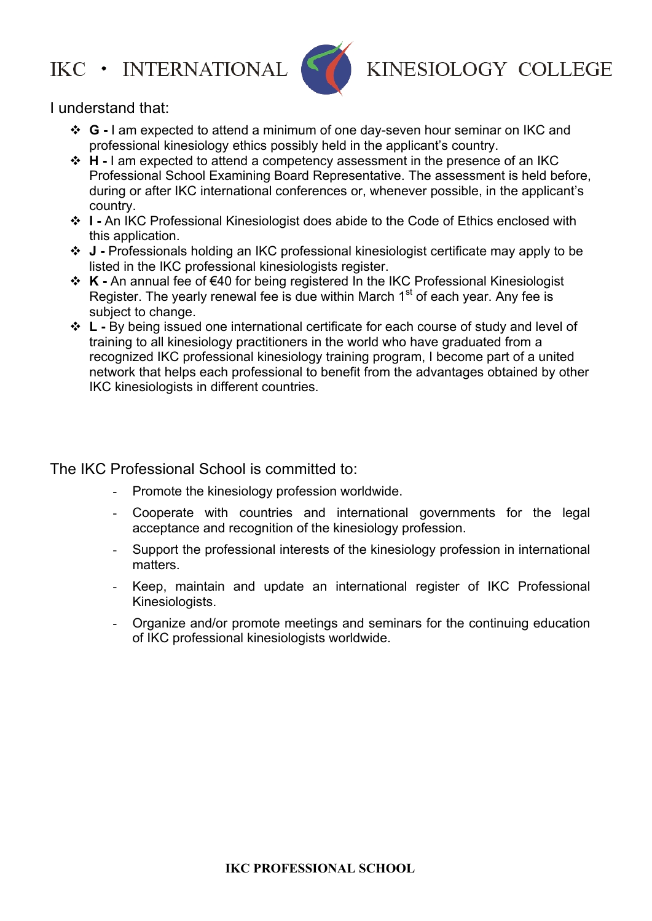

KINESIOLOGY COLLEGE

I understand that:

- ! **G** I am expected to attend a minimum of one day-seven hour seminar on IKC and professional kinesiology ethics possibly held in the applicant's country.
- ! **H** I am expected to attend a competency assessment in the presence of an IKC Professional School Examining Board Representative. The assessment is held before, during or after IKC international conferences or, whenever possible, in the applicant's country.
- ! **I** An IKC Professional Kinesiologist does abide to the Code of Ethics enclosed with this application.
- ! **J** Professionals holding an IKC professional kinesiologist certificate may apply to be listed in the IKC professional kinesiologists register.
- ! **K** An annual fee of €40 for being registered In the IKC Professional Kinesiologist Register. The yearly renewal fee is due within March  $1<sup>st</sup>$  of each year. Any fee is subject to change.
- ! **L** By being issued one international certificate for each course of study and level of training to all kinesiology practitioners in the world who have graduated from a recognized IKC professional kinesiology training program, I become part of a united network that helps each professional to benefit from the advantages obtained by other IKC kinesiologists in different countries.

The IKC Professional School is committed to:

- Promote the kinesiology profession worldwide.
- Cooperate with countries and international governments for the legal acceptance and recognition of the kinesiology profession.
- Support the professional interests of the kinesiology profession in international matters.
- Keep, maintain and update an international register of IKC Professional Kinesiologists.
- Organize and/or promote meetings and seminars for the continuing education of IKC professional kinesiologists worldwide.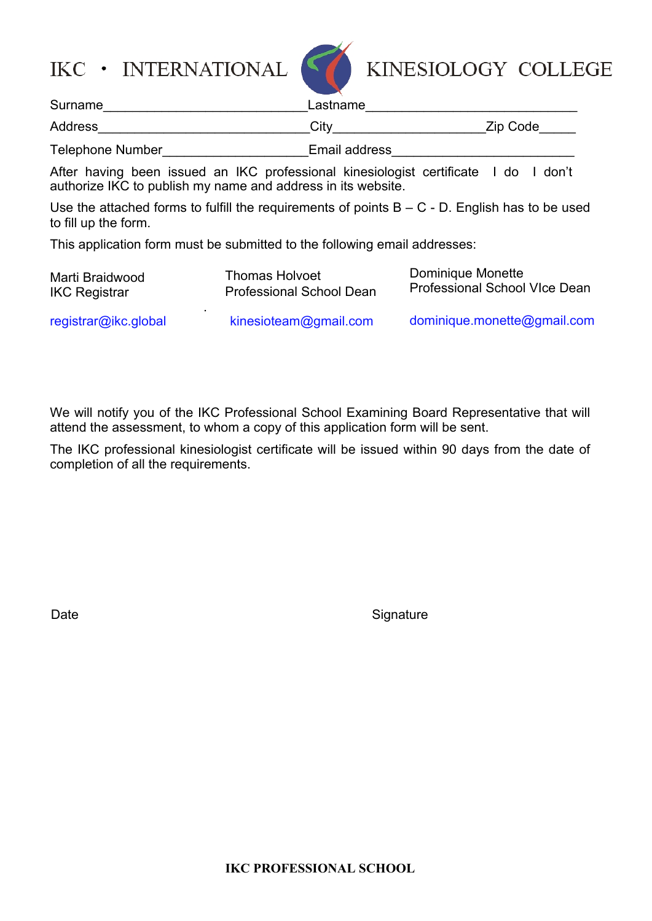

KINESIOLOGY COLLEGE

| Surname                 | Lastname      |          |  |  |
|-------------------------|---------------|----------|--|--|
| Address                 | Citv          | Zip Code |  |  |
| <b>Telephone Number</b> | Email address |          |  |  |

After having been issued an IKC professional kinesiologist certificate I do I don't authorize IKC to publish my name and address in its website.

Use the attached forms to fulfill the requirements of points  $B - C - D$ . English has to be used to fill up the form.

This application form must be submitted to the following email addresses:

| Marti Braidwood      | <b>Thomas Holvoet</b>           | Dominique Monette             |
|----------------------|---------------------------------|-------------------------------|
| <b>IKC Registrar</b> | <b>Professional School Dean</b> | Professional School VIce Dean |
| registrar@ikc.global | kinesioteam@gmail.com           | dominique.monette@gmail.com   |

We will notify you of the IKC Professional School Examining Board Representative that will attend the assessment, to whom a copy of this application form will be sent.

The IKC professional kinesiologist certificate will be issued within 90 days from the date of completion of all the requirements.

Date Signature Signature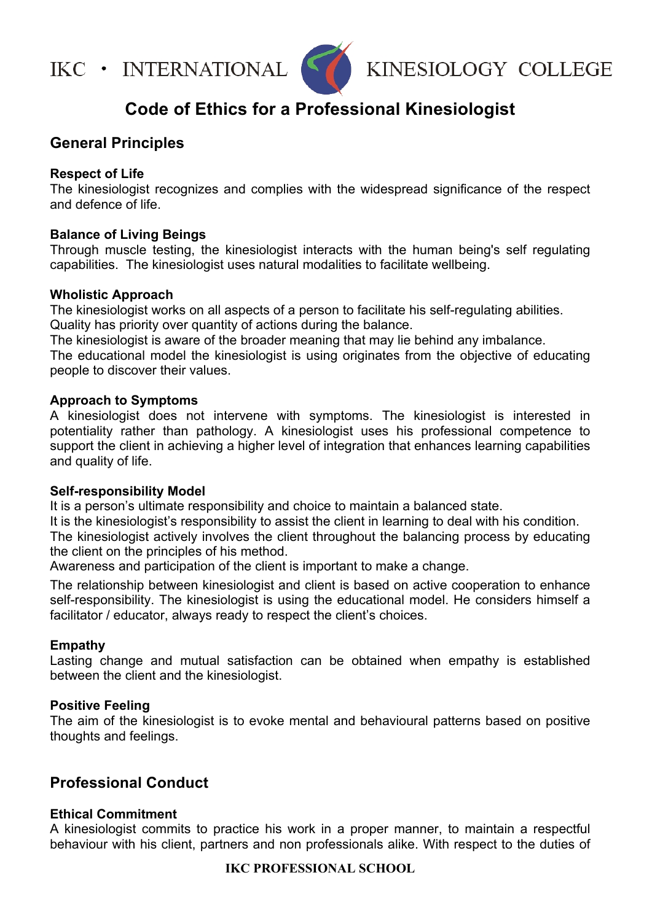

KINESIOLOGY COLLEGE

### **Code of Ethics for a Professional Kinesiologist**

#### **General Principles**

#### **Respect of Life**

The kinesiologist recognizes and complies with the widespread significance of the respect and defence of life.

#### **Balance of Living Beings**

Through muscle testing, the kinesiologist interacts with the human being's self regulating capabilities. The kinesiologist uses natural modalities to facilitate wellbeing.

#### **Wholistic Approach**

The kinesiologist works on all aspects of a person to facilitate his self-regulating abilities. Quality has priority over quantity of actions during the balance.

The kinesiologist is aware of the broader meaning that may lie behind any imbalance.

The educational model the kinesiologist is using originates from the objective of educating people to discover their values.

#### **Approach to Symptoms**

A kinesiologist does not intervene with symptoms. The kinesiologist is interested in potentiality rather than pathology. A kinesiologist uses his professional competence to support the client in achieving a higher level of integration that enhances learning capabilities and quality of life.

#### **Self-responsibility Model**

It is a person's ultimate responsibility and choice to maintain a balanced state.

It is the kinesiologist's responsibility to assist the client in learning to deal with his condition.

The kinesiologist actively involves the client throughout the balancing process by educating the client on the principles of his method.

Awareness and participation of the client is important to make a change.

The relationship between kinesiologist and client is based on active cooperation to enhance self-responsibility. The kinesiologist is using the educational model. He considers himself a facilitator / educator, always ready to respect the client's choices.

#### **Empathy**

Lasting change and mutual satisfaction can be obtained when empathy is established between the client and the kinesiologist.

#### **Positive Feeling**

The aim of the kinesiologist is to evoke mental and behavioural patterns based on positive thoughts and feelings.

#### **Professional Conduct**

#### **Ethical Commitment**

A kinesiologist commits to practice his work in a proper manner, to maintain a respectful behaviour with his client, partners and non professionals alike. With respect to the duties of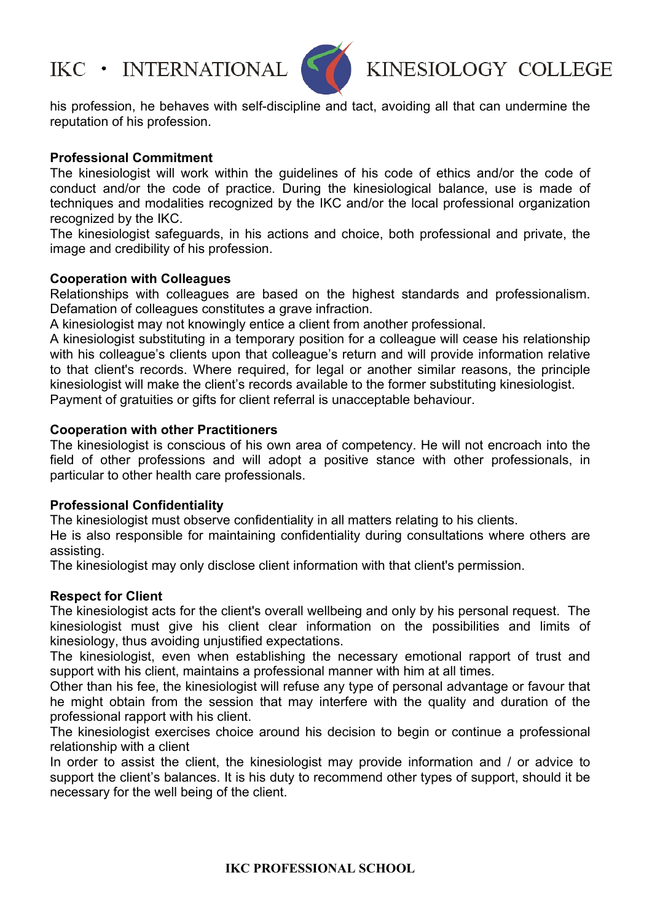

## KINESIOLOGY COLLEGE

his profession, he behaves with self-discipline and tact, avoiding all that can undermine the reputation of his profession.

#### **Professional Commitment**

The kinesiologist will work within the guidelines of his code of ethics and/or the code of conduct and/or the code of practice. During the kinesiological balance, use is made of techniques and modalities recognized by the IKC and/or the local professional organization recognized by the IKC.

The kinesiologist safeguards, in his actions and choice, both professional and private, the image and credibility of his profession.

#### **Cooperation with Colleagues**

Relationships with colleagues are based on the highest standards and professionalism. Defamation of colleagues constitutes a grave infraction.

A kinesiologist may not knowingly entice a client from another professional.

A kinesiologist substituting in a temporary position for a colleague will cease his relationship with his colleague's clients upon that colleague's return and will provide information relative to that client's records. Where required, for legal or another similar reasons, the principle kinesiologist will make the client's records available to the former substituting kinesiologist. Payment of gratuities or gifts for client referral is unacceptable behaviour.

#### **Cooperation with other Practitioners**

The kinesiologist is conscious of his own area of competency. He will not encroach into the field of other professions and will adopt a positive stance with other professionals, in particular to other health care professionals.

#### **Professional Confidentiality**

The kinesiologist must observe confidentiality in all matters relating to his clients.

He is also responsible for maintaining confidentiality during consultations where others are assisting.

The kinesiologist may only disclose client information with that client's permission.

#### **Respect for Client**

The kinesiologist acts for the client's overall wellbeing and only by his personal request. The kinesiologist must give his client clear information on the possibilities and limits of kinesiology, thus avoiding unjustified expectations.

The kinesiologist, even when establishing the necessary emotional rapport of trust and support with his client, maintains a professional manner with him at all times.

Other than his fee, the kinesiologist will refuse any type of personal advantage or favour that he might obtain from the session that may interfere with the quality and duration of the professional rapport with his client.

The kinesiologist exercises choice around his decision to begin or continue a professional relationship with a client

In order to assist the client, the kinesiologist may provide information and / or advice to support the client's balances. It is his duty to recommend other types of support, should it be necessary for the well being of the client.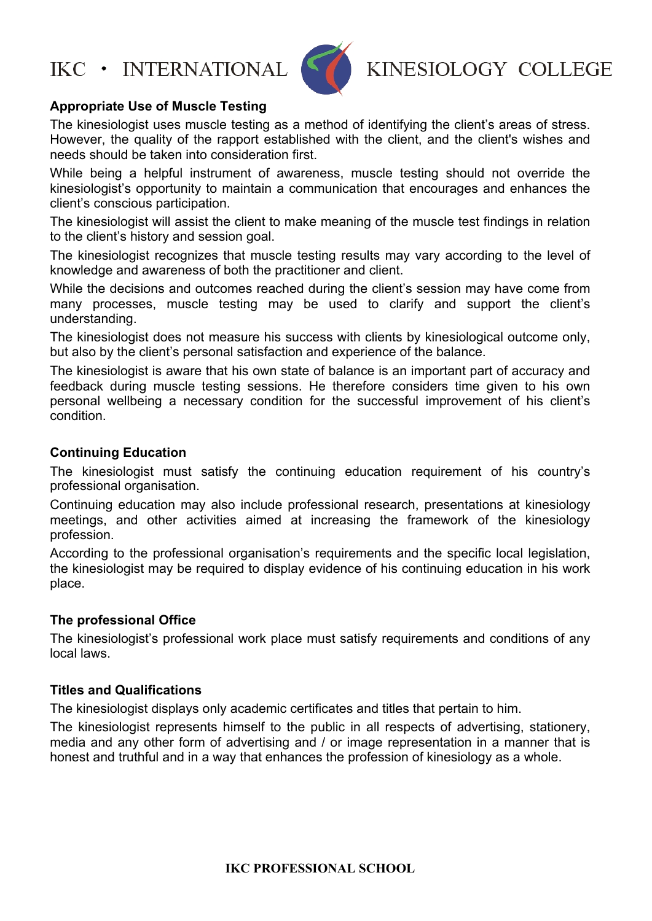

KINESIOLOGY COLLEGE

#### **Appropriate Use of Muscle Testing**

The kinesiologist uses muscle testing as a method of identifying the client's areas of stress. However, the quality of the rapport established with the client, and the client's wishes and needs should be taken into consideration first.

While being a helpful instrument of awareness, muscle testing should not override the kinesiologist's opportunity to maintain a communication that encourages and enhances the client's conscious participation.

The kinesiologist will assist the client to make meaning of the muscle test findings in relation to the client's history and session goal.

The kinesiologist recognizes that muscle testing results may vary according to the level of knowledge and awareness of both the practitioner and client.

While the decisions and outcomes reached during the client's session may have come from many processes, muscle testing may be used to clarify and support the client's understanding.

The kinesiologist does not measure his success with clients by kinesiological outcome only, but also by the client's personal satisfaction and experience of the balance.

The kinesiologist is aware that his own state of balance is an important part of accuracy and feedback during muscle testing sessions. He therefore considers time given to his own personal wellbeing a necessary condition for the successful improvement of his client's condition.

#### **Continuing Education**

The kinesiologist must satisfy the continuing education requirement of his country's professional organisation.

Continuing education may also include professional research, presentations at kinesiology meetings, and other activities aimed at increasing the framework of the kinesiology profession.

According to the professional organisation's requirements and the specific local legislation, the kinesiologist may be required to display evidence of his continuing education in his work place.

#### **The professional Office**

The kinesiologist's professional work place must satisfy requirements and conditions of any local laws.

#### **Titles and Qualifications**

The kinesiologist displays only academic certificates and titles that pertain to him.

The kinesiologist represents himself to the public in all respects of advertising, stationery, media and any other form of advertising and / or image representation in a manner that is honest and truthful and in a way that enhances the profession of kinesiology as a whole.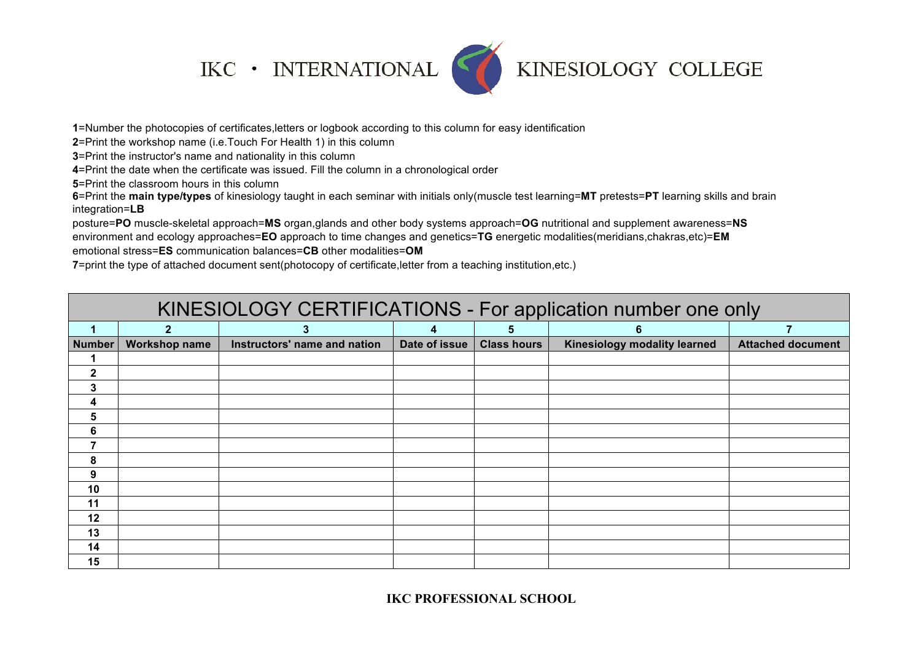## $\textsf{IKC}\;\bullet\;\textsf{INTERNATIONAL}$



## KINESIOLOGY COLLEGE

=Number the photocopies of certificates,letters or logbook according to this column for easy identification

=Print the workshop name (i.e.Touch For Health 1) in this column

=Print the instructor's name and nationality in this column

=Print the date when the certificate was issued. Fill the column in a chronological order

=Print the classroom hours in this column

=Print the **main type/types** of kinesiology taught in each seminar with initials only(muscle test learning=**MT** pretests=**PT** learning skills and brain integration=**LB**

posture=**PO** muscle-skeletal approach=**MS** organ,glands and other body systems approach=**OG** nutritional and supplement awareness=**NS**  environment and ecology approaches=**EO** approach to time changes and genetics=**TG** energetic modalities(meridians,chakras,etc)=**EM**  emotional stress=**ES** communication balances=**CB** other modalities=**OM** 

=print the type of attached document sent(photocopy of certificate,letter from a teaching institution,etc.)

| KINESIOLOGY CERTIFICATIONS - For application number one only |                      |                              |               |                    |                              |                          |  |
|--------------------------------------------------------------|----------------------|------------------------------|---------------|--------------------|------------------------------|--------------------------|--|
|                                                              | $2^{\circ}$          | 3                            | 4             | 5                  | 6                            |                          |  |
| <b>Number</b>                                                | <b>Workshop name</b> | Instructors' name and nation | Date of issue | <b>Class hours</b> | Kinesiology modality learned | <b>Attached document</b> |  |
| 1                                                            |                      |                              |               |                    |                              |                          |  |
| $\mathbf{2}$                                                 |                      |                              |               |                    |                              |                          |  |
| 3                                                            |                      |                              |               |                    |                              |                          |  |
| 4                                                            |                      |                              |               |                    |                              |                          |  |
| 5                                                            |                      |                              |               |                    |                              |                          |  |
| 6                                                            |                      |                              |               |                    |                              |                          |  |
| 7                                                            |                      |                              |               |                    |                              |                          |  |
| 8                                                            |                      |                              |               |                    |                              |                          |  |
| 9                                                            |                      |                              |               |                    |                              |                          |  |
| 10                                                           |                      |                              |               |                    |                              |                          |  |
| 11                                                           |                      |                              |               |                    |                              |                          |  |
| 12                                                           |                      |                              |               |                    |                              |                          |  |
| 13                                                           |                      |                              |               |                    |                              |                          |  |
| 14                                                           |                      |                              |               |                    |                              |                          |  |
| 15                                                           |                      |                              |               |                    |                              |                          |  |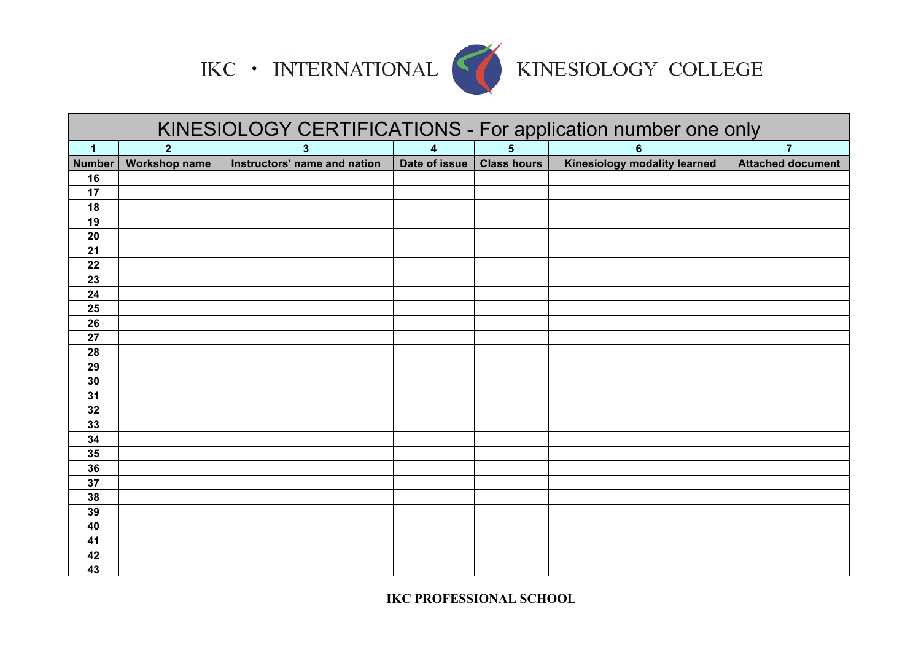

# IKC • INTERNATIONAL KINESIOLOGY COLLEGE

|                         | KINESIOLOGY CERTIFICATIONS - For application number one only |                              |                         |                |                              |                          |  |
|-------------------------|--------------------------------------------------------------|------------------------------|-------------------------|----------------|------------------------------|--------------------------|--|
| $\overline{\mathbf{1}}$ | $\overline{2}$                                               | 3                            | $\overline{\mathbf{4}}$ | $5\phantom{a}$ | $6\phantom{1}6$              | $\overline{7}$           |  |
| Number                  | Workshop name                                                | Instructors' name and nation | Date of issue           | Class hours    | Kinesiology modality learned | <b>Attached document</b> |  |
| 16                      |                                                              |                              |                         |                |                              |                          |  |
| 17                      |                                                              |                              |                         |                |                              |                          |  |
| 18                      |                                                              |                              |                         |                |                              |                          |  |
| 19                      |                                                              |                              |                         |                |                              |                          |  |
| 20                      |                                                              |                              |                         |                |                              |                          |  |
| 21                      |                                                              |                              |                         |                |                              |                          |  |
| 22                      |                                                              |                              |                         |                |                              |                          |  |
| 23                      |                                                              |                              |                         |                |                              |                          |  |
| 24                      |                                                              |                              |                         |                |                              |                          |  |
| 25                      |                                                              |                              |                         |                |                              |                          |  |
| 26                      |                                                              |                              |                         |                |                              |                          |  |
| 27                      |                                                              |                              |                         |                |                              |                          |  |
| 28                      |                                                              |                              |                         |                |                              |                          |  |
| 29                      |                                                              |                              |                         |                |                              |                          |  |
| 30                      |                                                              |                              |                         |                |                              |                          |  |
| 31                      |                                                              |                              |                         |                |                              |                          |  |
| 32                      |                                                              |                              |                         |                |                              |                          |  |
| 33                      |                                                              |                              |                         |                |                              |                          |  |
| 34                      |                                                              |                              |                         |                |                              |                          |  |
| 35                      |                                                              |                              |                         |                |                              |                          |  |
| 36                      |                                                              |                              |                         |                |                              |                          |  |
| 37                      |                                                              |                              |                         |                |                              |                          |  |
| 38                      |                                                              |                              |                         |                |                              |                          |  |
| 39                      |                                                              |                              |                         |                |                              |                          |  |
| 40                      |                                                              |                              |                         |                |                              |                          |  |
| 41                      |                                                              |                              |                         |                |                              |                          |  |
| 42                      |                                                              |                              |                         |                |                              |                          |  |
| 43                      |                                                              |                              |                         |                |                              |                          |  |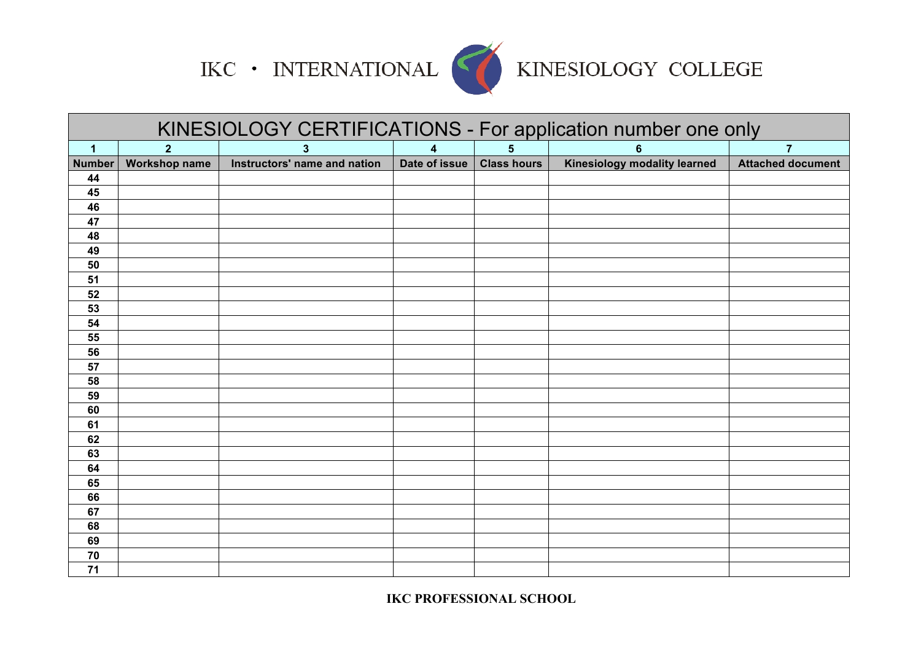

# IKC • INTERNATIONAL KINESIOLOGY COLLEGE

| KINESIOLOGY CERTIFICATIONS - For application number one only |                      |                              |               |                    |                              |                          |
|--------------------------------------------------------------|----------------------|------------------------------|---------------|--------------------|------------------------------|--------------------------|
| $\overline{\mathbf{1}}$                                      | 2 <sup>2</sup>       | 3                            | 4             | $5\phantom{.0}$    | 6                            | $\overline{7}$           |
| <b>Number</b>                                                | <b>Workshop name</b> | Instructors' name and nation | Date of issue | <b>Class hours</b> | Kinesiology modality learned | <b>Attached document</b> |
| 44                                                           |                      |                              |               |                    |                              |                          |
| 45                                                           |                      |                              |               |                    |                              |                          |
| 46                                                           |                      |                              |               |                    |                              |                          |
| 47                                                           |                      |                              |               |                    |                              |                          |
| 48                                                           |                      |                              |               |                    |                              |                          |
| 49                                                           |                      |                              |               |                    |                              |                          |
| 50                                                           |                      |                              |               |                    |                              |                          |
| 51                                                           |                      |                              |               |                    |                              |                          |
| 52                                                           |                      |                              |               |                    |                              |                          |
| 53                                                           |                      |                              |               |                    |                              |                          |
| 54                                                           |                      |                              |               |                    |                              |                          |
| 55                                                           |                      |                              |               |                    |                              |                          |
| 56                                                           |                      |                              |               |                    |                              |                          |
| 57                                                           |                      |                              |               |                    |                              |                          |
| 58                                                           |                      |                              |               |                    |                              |                          |
| 59                                                           |                      |                              |               |                    |                              |                          |
| 60                                                           |                      |                              |               |                    |                              |                          |
| 61                                                           |                      |                              |               |                    |                              |                          |
| 62                                                           |                      |                              |               |                    |                              |                          |
| 63                                                           |                      |                              |               |                    |                              |                          |
| 64                                                           |                      |                              |               |                    |                              |                          |
| 65                                                           |                      |                              |               |                    |                              |                          |
| 66                                                           |                      |                              |               |                    |                              |                          |
| 67                                                           |                      |                              |               |                    |                              |                          |
| 68                                                           |                      |                              |               |                    |                              |                          |
| 69                                                           |                      |                              |               |                    |                              |                          |
| 70                                                           |                      |                              |               |                    |                              |                          |
| 71                                                           |                      |                              |               |                    |                              |                          |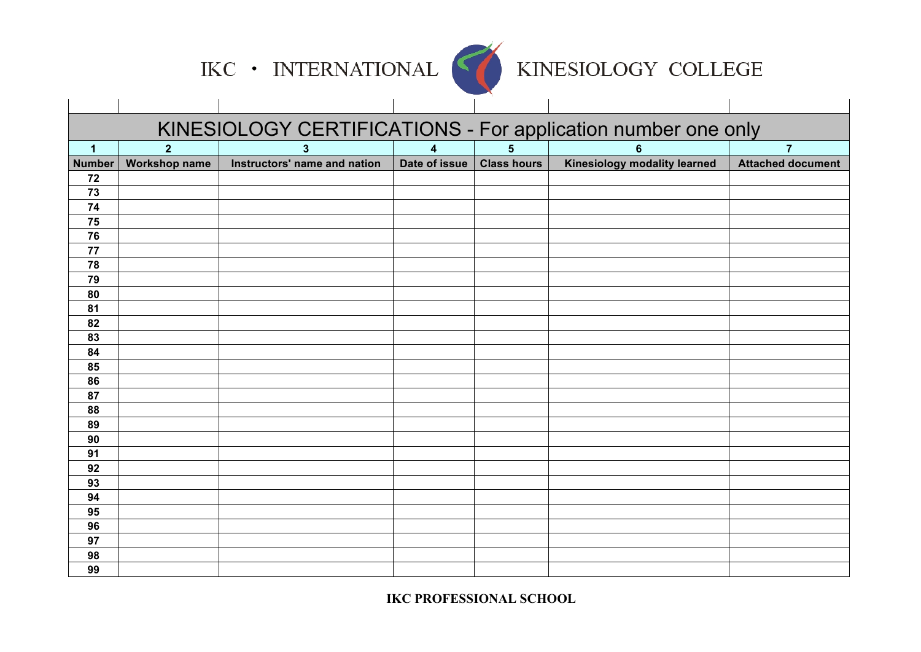

## KINESIOLOGY COLLEGE

| KINESIOLOGY CERTIFICATIONS - For application number one only |                                                                  |                              |                             |  |                              |                          |  |
|--------------------------------------------------------------|------------------------------------------------------------------|------------------------------|-----------------------------|--|------------------------------|--------------------------|--|
| $\overline{\mathbf{1}}$                                      | $5\phantom{1}$<br>$\overline{2}$<br>$\overline{\mathbf{4}}$<br>3 |                              |                             |  |                              |                          |  |
| <b>Number</b>                                                | <b>Workshop name</b>                                             | Instructors' name and nation | Date of issue   Class hours |  | Kinesiology modality learned | <b>Attached document</b> |  |
| 72                                                           |                                                                  |                              |                             |  |                              |                          |  |
| 73                                                           |                                                                  |                              |                             |  |                              |                          |  |
| 74                                                           |                                                                  |                              |                             |  |                              |                          |  |
| 75                                                           |                                                                  |                              |                             |  |                              |                          |  |
| 76                                                           |                                                                  |                              |                             |  |                              |                          |  |
| 77                                                           |                                                                  |                              |                             |  |                              |                          |  |
| 78                                                           |                                                                  |                              |                             |  |                              |                          |  |
| 79                                                           |                                                                  |                              |                             |  |                              |                          |  |
| 80                                                           |                                                                  |                              |                             |  |                              |                          |  |
| 81                                                           |                                                                  |                              |                             |  |                              |                          |  |
| 82                                                           |                                                                  |                              |                             |  |                              |                          |  |
| 83                                                           |                                                                  |                              |                             |  |                              |                          |  |
| 84                                                           |                                                                  |                              |                             |  |                              |                          |  |
| 85                                                           |                                                                  |                              |                             |  |                              |                          |  |
| 86                                                           |                                                                  |                              |                             |  |                              |                          |  |
| 87                                                           |                                                                  |                              |                             |  |                              |                          |  |
| 88                                                           |                                                                  |                              |                             |  |                              |                          |  |
| 89                                                           |                                                                  |                              |                             |  |                              |                          |  |
| 90                                                           |                                                                  |                              |                             |  |                              |                          |  |
| 91                                                           |                                                                  |                              |                             |  |                              |                          |  |
| 92                                                           |                                                                  |                              |                             |  |                              |                          |  |
| 93                                                           |                                                                  |                              |                             |  |                              |                          |  |
| 94                                                           |                                                                  |                              |                             |  |                              |                          |  |
| 95                                                           |                                                                  |                              |                             |  |                              |                          |  |
| 96                                                           |                                                                  |                              |                             |  |                              |                          |  |
| 97                                                           |                                                                  |                              |                             |  |                              |                          |  |
| 98                                                           |                                                                  |                              |                             |  |                              |                          |  |
| 99                                                           |                                                                  |                              |                             |  |                              |                          |  |